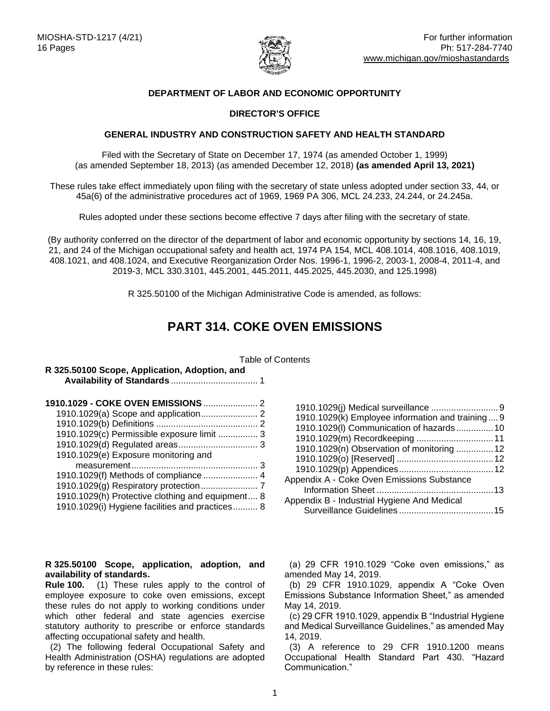

### **DEPARTMENT OF LABOR AND ECONOMIC OPPORTUNITY**

#### **DIRECTOR'S OFFICE**

#### **GENERAL INDUSTRY AND CONSTRUCTION SAFETY AND HEALTH STANDARD**

Filed with the Secretary of State on December 17, 1974 (as amended October 1, 1999) (as amended September 18, 2013) (as amended December 12, 2018) **(as amended April 13, 2021)**

These rules take effect immediately upon filing with the secretary of state unless adopted under section 33, 44, or 45a(6) of the administrative procedures act of 1969, 1969 PA 306, MCL 24.233, 24.244, or 24.245a.

Rules adopted under these sections become effective 7 days after filing with the secretary of state.

(By authority conferred on the director of the department of labor and economic opportunity by sections 14, 16, 19, 21, and 24 of the Michigan occupational safety and health act, 1974 PA 154, MCL 408.1014, 408.1016, 408.1019, 408.1021, and 408.1024, and Executive Reorganization Order Nos. 1996-1, 1996-2, 2003-1, 2008-4, 2011-4, and 2019-3, MCL 330.3101, 445.2001, 445.2011, 445.2025, 445.2030, and 125.1998)

R 325.50100 of the Michigan Administrative Code is amended, as follows:

# **PART 314. COKE OVEN EMISSIONS**

Table of Contents

| R 325.50100 Scope, Application, Adoption, and |  |  |
|-----------------------------------------------|--|--|
|                                               |  |  |

| 1910.1029(c) Permissible exposure limit  3       |  |
|--------------------------------------------------|--|
|                                                  |  |
| 1910.1029(e) Exposure monitoring and             |  |
|                                                  |  |
| 1910.1029(f) Methods of compliance  4            |  |
|                                                  |  |
| 1910.1029(h) Protective clothing and equipment 8 |  |
| 1910.1029(i) Hygiene facilities and practices 8  |  |

#### <span id="page-0-0"></span>**R 325.50100 Scope, application, adoption, and availability of standards.**

**Rule 100.** (1) These rules apply to the control of employee exposure to coke oven emissions, except these rules do not apply to working conditions under which other federal and state agencies exercise statutory authority to prescribe or enforce standards affecting occupational safety and health.

 (2) The following federal Occupational Safety and Health Administration (OSHA) regulations are adopted by reference in these rules:

| 1910.1029(j) Medical surveillance  9            |  |
|-------------------------------------------------|--|
| 1910.1029(k) Employee information and training9 |  |
| 1910.1029(I) Communication of hazards 10        |  |
| 1910.1029(m) Recordkeeping  11                  |  |
| 1910.1029(n) Observation of monitoring  12      |  |
|                                                 |  |
|                                                 |  |
| Appendix A - Coke Oven Emissions Substance      |  |
|                                                 |  |
| Appendix B - Industrial Hygiene And Medical     |  |
|                                                 |  |
|                                                 |  |

 (a) 29 CFR 1910.1029 "Coke oven emissions," as amended May 14, 2019.

 (b) 29 CFR 1910.1029, appendix A "Coke Oven Emissions Substance Information Sheet," as amended May 14, 2019.

 (c) 29 CFR 1910.1029, appendix B "Industrial Hygiene and Medical Surveillance Guidelines," as amended May 14, 2019.

 (3) A reference to 29 CFR 1910.1200 means Occupational Health Standard Part 430. "Hazard Communication."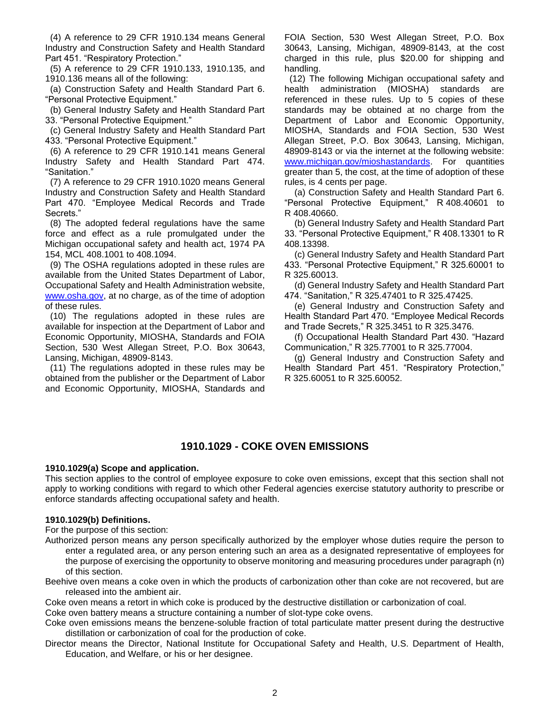(4) A reference to 29 CFR 1910.134 means General Industry and Construction Safety and Health Standard Part 451. "Respiratory Protection."

 (5) A reference to 29 CFR 1910.133, 1910.135, and 1910.136 means all of the following:

 (a) Construction Safety and Health Standard Part 6. "Personal Protective Equipment."

 (b) General Industry Safety and Health Standard Part 33. "Personal Protective Equipment."

 (c) General Industry Safety and Health Standard Part 433. "Personal Protective Equipment."

 (6) A reference to 29 CFR 1910.141 means General Industry Safety and Health Standard Part 474. "Sanitation."

 (7) A reference to 29 CFR 1910.1020 means General Industry and Construction Safety and Health Standard Part 470. "Employee Medical Records and Trade Secrets."

 (8) The adopted federal regulations have the same force and effect as a rule promulgated under the Michigan occupational safety and health act, 1974 PA 154, MCL 408.1001 to 408.1094.

 (9) The OSHA regulations adopted in these rules are available from the United States Department of Labor, Occupational Safety and Health Administration website, [www.osha.gov,](http://www.osha.gov/) at no charge, as of the time of adoption of these rules.

 (10) The regulations adopted in these rules are available for inspection at the Department of Labor and Economic Opportunity, MIOSHA, Standards and FOIA Section, 530 West Allegan Street, P.O. Box 30643, Lansing, Michigan, 48909-8143.

 (11) The regulations adopted in these rules may be obtained from the publisher or the Department of Labor and Economic Opportunity, MIOSHA, Standards and FOIA Section, 530 West Allegan Street, P.O. Box 30643, Lansing, Michigan, 48909-8143, at the cost charged in this rule, plus \$20.00 for shipping and handling.

 (12) The following Michigan occupational safety and health administration (MIOSHA) standards are referenced in these rules. Up to 5 copies of these standards may be obtained at no charge from the Department of Labor and Economic Opportunity, MIOSHA, Standards and FOIA Section, 530 West Allegan Street, P.O. Box 30643, Lansing, Michigan, 48909-8143 or via the internet at the following website: [www.michigan.gov/mioshastandards.](http://www.michigan.gov/mioshastandards) For quantities greater than 5, the cost, at the time of adoption of these rules, is 4 cents per page.

 (a) Construction Safety and Health Standard Part 6. "Personal Protective Equipment," R 408.40601 to R 408.40660.

 (b) General Industry Safety and Health Standard Part 33. "Personal Protective Equipment," R 408.13301 to R 408.13398.

 (c) General Industry Safety and Health Standard Part 433. "Personal Protective Equipment," R 325.60001 to R 325.60013.

 (d) General Industry Safety and Health Standard Part 474. "Sanitation," R 325.47401 to R 325.47425.

 (e) General Industry and Construction Safety and Health Standard Part 470. "Employee Medical Records and Trade Secrets," R 325.3451 to R 325.3476.

 (f) Occupational Health Standard Part 430. "Hazard Communication," R 325.77001 to R 325.77004.

<span id="page-1-0"></span> (g) General Industry and Construction Safety and Health Standard Part 451. "Respiratory Protection," R 325.60051 to R 325.60052.

# <span id="page-1-2"></span><span id="page-1-1"></span>**1910.1029 - COKE OVEN EMISSIONS**

#### **1910.1029(a) Scope and application.**

This section applies to the control of employee exposure to coke oven emissions, except that this section shall not apply to working conditions with regard to which other Federal agencies exercise statutory authority to prescribe or enforce standards affecting occupational safety and health.

#### **1910.1029(b) Definitions.**

For the purpose of this section:

Authorized person means any person specifically authorized by the employer whose duties require the person to enter a regulated area, or any person entering such an area as a designated representative of employees for the purpose of exercising the opportunity to observe monitoring and measuring procedures under paragraph (n) of this section.

Beehive oven means a coke oven in which the products of carbonization other than coke are not recovered, but are released into the ambient air.

Coke oven means a retort in which coke is produced by the destructive distillation or carbonization of coal.

Coke oven battery means a structure containing a number of slot-type coke ovens.

Coke oven emissions means the benzene-soluble fraction of total particulate matter present during the destructive distillation or carbonization of coal for the production of coke.

Director means the Director, National Institute for Occupational Safety and Health, U.S. Department of Health, Education, and Welfare, or his or her designee.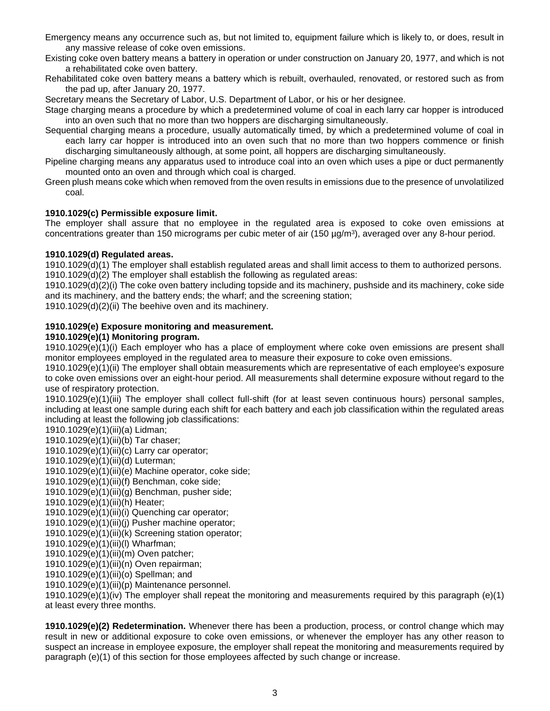- Emergency means any occurrence such as, but not limited to, equipment failure which is likely to, or does, result in any massive release of coke oven emissions.
- Existing coke oven battery means a battery in operation or under construction on January 20, 1977, and which is not a rehabilitated coke oven battery.
- Rehabilitated coke oven battery means a battery which is rebuilt, overhauled, renovated, or restored such as from the pad up, after January 20, 1977.

Secretary means the Secretary of Labor, U.S. Department of Labor, or his or her designee.

- Stage charging means a procedure by which a predetermined volume of coal in each larry car hopper is introduced into an oven such that no more than two hoppers are discharging simultaneously.
- Sequential charging means a procedure, usually automatically timed, by which a predetermined volume of coal in each larry car hopper is introduced into an oven such that no more than two hoppers commence or finish discharging simultaneously although, at some point, all hoppers are discharging simultaneously.
- Pipeline charging means any apparatus used to introduce coal into an oven which uses a pipe or duct permanently mounted onto an oven and through which coal is charged.
- Green plush means coke which when removed from the oven results in emissions due to the presence of unvolatilized coal.

### <span id="page-2-0"></span>**1910.1029(c) Permissible exposure limit.**

The employer shall assure that no employee in the regulated area is exposed to coke oven emissions at concentrations greater than 150 micrograms per cubic meter of air (150  $\mu$ g/m<sup>3</sup>), averaged over any 8-hour period.

#### **1910.1029(d) Regulated areas.**

<span id="page-2-1"></span>1910.1029(d)(1) The employer shall establish regulated areas and shall limit access to them to authorized persons. 1910.1029(d)(2) The employer shall establish the following as regulated areas:

1910.1029(d)(2)(i) The coke oven battery including topside and its machinery, pushside and its machinery, coke side and its machinery, and the battery ends; the wharf; and the screening station;

1910.1029(d)(2)(ii) The beehive oven and its machinery.

#### <span id="page-2-2"></span>**1910.1029(e) Exposure monitoring and measurement.**

#### **1910.1029(e)(1) Monitoring program.**

1910.1029(e)(1)(i) Each employer who has a place of employment where coke oven emissions are present shall monitor employees employed in the regulated area to measure their exposure to coke oven emissions.

1910.1029(e)(1)(ii) The employer shall obtain measurements which are representative of each employee's exposure to coke oven emissions over an eight-hour period. All measurements shall determine exposure without regard to the use of respiratory protection.

1910.1029(e)(1)(iii) The employer shall collect full-shift (for at least seven continuous hours) personal samples, including at least one sample during each shift for each battery and each job classification within the regulated areas including at least the following job classifications:

1910.1029(e)(1)(iii)(a) Lidman;

1910.1029(e)(1)(iii)(b) Tar chaser;

1910.1029(e)(1)(iii)(c) Larry car operator;

1910.1029(e)(1)(iii)(d) Luterman;

1910.1029(e)(1)(iii)(e) Machine operator, coke side;

1910.1029(e)(1)(iii)(f) Benchman, coke side;

1910.1029(e)(1)(iii)(g) Benchman, pusher side;

1910.1029(e)(1)(iii)(h) Heater;

1910.1029(e)(1)(iii)(i) Quenching car operator;

1910.1029(e)(1)(iii)(j) Pusher machine operator;

1910.1029(e)(1)(iii)(k) Screening station operator;

1910.1029(e)(1)(iii)(l) Wharfman;

1910.1029(e)(1)(iii)(m) Oven patcher;

1910.1029(e)(1)(iii)(n) Oven repairman;

1910.1029(e)(1)(iii)(o) Spellman; and

1910.1029(e)(1)(iii)(p) Maintenance personnel.

1910.1029(e)(1)(iv) The employer shall repeat the monitoring and measurements required by this paragraph (e)(1) at least every three months.

**1910.1029(e)(2) Redetermination.** Whenever there has been a production, process, or control change which may result in new or additional exposure to coke oven emissions, or whenever the employer has any other reason to suspect an increase in employee exposure, the employer shall repeat the monitoring and measurements required by paragraph (e)(1) of this section for those employees affected by such change or increase.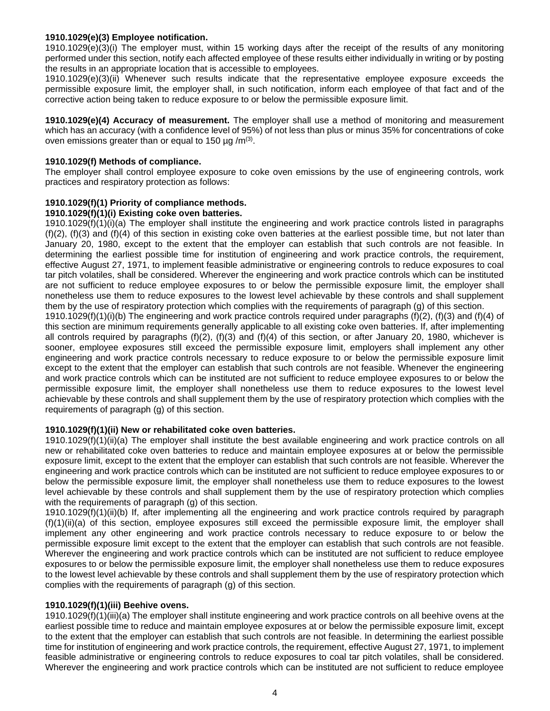#### **1910.1029(e)(3) Employee notification.**

1910.1029(e)(3)(i) The employer must, within 15 working days after the receipt of the results of any monitoring performed under this section, notify each affected employee of these results either individually in writing or by posting the results in an appropriate location that is accessible to employees.

1910.1029(e)(3)(ii) Whenever such results indicate that the representative employee exposure exceeds the permissible exposure limit, the employer shall, in such notification, inform each employee of that fact and of the corrective action being taken to reduce exposure to or below the permissible exposure limit.

**1910.1029(e)(4) Accuracy of measurement.** The employer shall use a method of monitoring and measurement which has an accuracy (with a confidence level of 95%) of not less than plus or minus 35% for concentrations of coke oven emissions greater than or equal to 150  $\mu$ g /m<sup>(3)</sup>.

### <span id="page-3-0"></span>**1910.1029(f) Methods of compliance.**

The employer shall control employee exposure to coke oven emissions by the use of engineering controls, work practices and respiratory protection as follows:

### **1910.1029(f)(1) Priority of compliance methods.**

#### **1910.1029(f)(1)(i) Existing coke oven batteries.**

1910.1029(f)(1)(i)(a) The employer shall institute the engineering and work practice controls listed in paragraphs  $(f)(2)$ ,  $(f)(3)$  and  $(f)(4)$  of this section in existing coke oven batteries at the earliest possible time, but not later than January 20, 1980, except to the extent that the employer can establish that such controls are not feasible. In determining the earliest possible time for institution of engineering and work practice controls, the requirement, effective August 27, 1971, to implement feasible administrative or engineering controls to reduce exposures to coal tar pitch volatiles, shall be considered. Wherever the engineering and work practice controls which can be instituted are not sufficient to reduce employee exposures to or below the permissible exposure limit, the employer shall nonetheless use them to reduce exposures to the lowest level achievable by these controls and shall supplement them by the use of respiratory protection which complies with the requirements of paragraph (g) of this section.

1910.1029(f)(1)(i)(b) The engineering and work practice controls required under paragraphs (f)(2), (f)(3) and (f)(4) of this section are minimum requirements generally applicable to all existing coke oven batteries. If, after implementing all controls required by paragraphs  $(f)(2)$ ,  $(f)(3)$  and  $(f)(4)$  of this section, or after January 20, 1980, whichever is sooner, employee exposures still exceed the permissible exposure limit, employers shall implement any other engineering and work practice controls necessary to reduce exposure to or below the permissible exposure limit except to the extent that the employer can establish that such controls are not feasible. Whenever the engineering and work practice controls which can be instituted are not sufficient to reduce employee exposures to or below the permissible exposure limit, the employer shall nonetheless use them to reduce exposures to the lowest level achievable by these controls and shall supplement them by the use of respiratory protection which complies with the requirements of paragraph (g) of this section.

### **1910.1029(f)(1)(ii) New or rehabilitated coke oven batteries.**

1910.1029(f)(1)(ii)(a) The employer shall institute the best available engineering and work practice controls on all new or rehabilitated coke oven batteries to reduce and maintain employee exposures at or below the permissible exposure limit, except to the extent that the employer can establish that such controls are not feasible. Wherever the engineering and work practice controls which can be instituted are not sufficient to reduce employee exposures to or below the permissible exposure limit, the employer shall nonetheless use them to reduce exposures to the lowest level achievable by these controls and shall supplement them by the use of respiratory protection which complies with the requirements of paragraph (g) of this section.

1910.1029(f)(1)(ii)(b) If, after implementing all the engineering and work practice controls required by paragraph (f)(1)(ii)(a) of this section, employee exposures still exceed the permissible exposure limit, the employer shall implement any other engineering and work practice controls necessary to reduce exposure to or below the permissible exposure limit except to the extent that the employer can establish that such controls are not feasible. Wherever the engineering and work practice controls which can be instituted are not sufficient to reduce employee exposures to or below the permissible exposure limit, the employer shall nonetheless use them to reduce exposures to the lowest level achievable by these controls and shall supplement them by the use of respiratory protection which complies with the requirements of paragraph (g) of this section.

### **1910.1029(f)(1)(iii) Beehive ovens.**

1910.1029(f)(1)(iii)(a) The employer shall institute engineering and work practice controls on all beehive ovens at the earliest possible time to reduce and maintain employee exposures at or below the permissible exposure limit, except to the extent that the employer can establish that such controls are not feasible. In determining the earliest possible time for institution of engineering and work practice controls, the requirement, effective August 27, 1971, to implement feasible administrative or engineering controls to reduce exposures to coal tar pitch volatiles, shall be considered. Wherever the engineering and work practice controls which can be instituted are not sufficient to reduce employee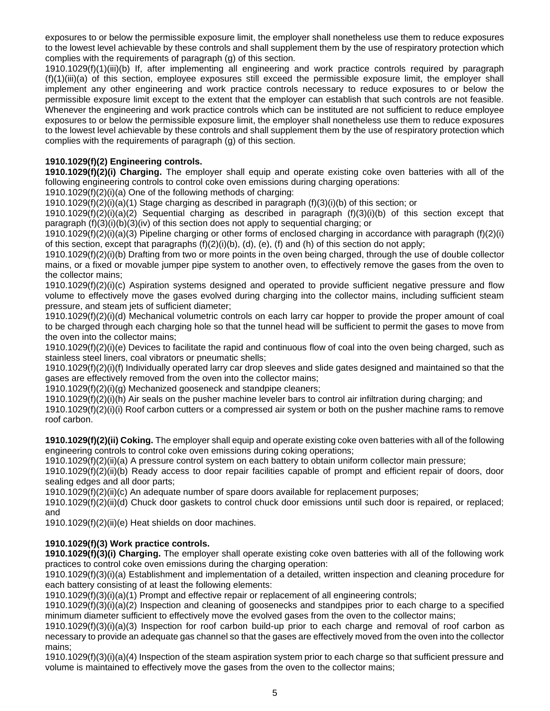exposures to or below the permissible exposure limit, the employer shall nonetheless use them to reduce exposures to the lowest level achievable by these controls and shall supplement them by the use of respiratory protection which complies with the requirements of paragraph (g) of this section.

1910.1029(f)(1)(iii)(b) If, after implementing all engineering and work practice controls required by paragraph (f)(1)(iii)(a) of this section, employee exposures still exceed the permissible exposure limit, the employer shall implement any other engineering and work practice controls necessary to reduce exposures to or below the permissible exposure limit except to the extent that the employer can establish that such controls are not feasible. Whenever the engineering and work practice controls which can be instituted are not sufficient to reduce employee exposures to or below the permissible exposure limit, the employer shall nonetheless use them to reduce exposures to the lowest level achievable by these controls and shall supplement them by the use of respiratory protection which complies with the requirements of paragraph (g) of this section.

### **1910.1029(f)(2) Engineering controls.**

**1910.1029(f)(2)(i) Charging.** The employer shall equip and operate existing coke oven batteries with all of the following engineering controls to control coke oven emissions during charging operations:

1910.1029(f)(2)(i)(a) One of the following methods of charging:

1910.1029(f)(2)(i)(a)(1) Stage charging as described in paragraph (f)(3)(i)(b) of this section; or

1910.1029(f)(2)(i)(a)(2) Sequential charging as described in paragraph (f)(3)(i)(b) of this section except that paragraph  $(f)(3)(i)(b)(3)(iv)$  of this section does not apply to sequential charging; or

1910.1029(f)(2)(i)(a)(3) Pipeline charging or other forms of enclosed charging in accordance with paragraph (f)(2)(i) of this section, except that paragraphs  $(f)(2)(i)(b)$ ,  $(d)$ ,  $(e)$ ,  $(f)$  and  $(h)$  of this section do not apply;

1910.1029(f)(2)(i)(b) Drafting from two or more points in the oven being charged, through the use of double collector mains, or a fixed or movable jumper pipe system to another oven, to effectively remove the gases from the oven to the collector mains;

1910.1029(f)(2)(i)(c) Aspiration systems designed and operated to provide sufficient negative pressure and flow volume to effectively move the gases evolved during charging into the collector mains, including sufficient steam pressure, and steam jets of sufficient diameter;

1910.1029(f)(2)(i)(d) Mechanical volumetric controls on each larry car hopper to provide the proper amount of coal to be charged through each charging hole so that the tunnel head will be sufficient to permit the gases to move from the oven into the collector mains;

1910.1029(f)(2)(i)(e) Devices to facilitate the rapid and continuous flow of coal into the oven being charged, such as stainless steel liners, coal vibrators or pneumatic shells;

1910.1029(f)(2)(i)(f) Individually operated larry car drop sleeves and slide gates designed and maintained so that the gases are effectively removed from the oven into the collector mains;

1910.1029(f)(2)(i)(g) Mechanized gooseneck and standpipe cleaners;

1910.1029(f)(2)(i)(h) Air seals on the pusher machine leveler bars to control air infiltration during charging; and 1910.1029(f)(2)(i)(i) Roof carbon cutters or a compressed air system or both on the pusher machine rams to remove roof carbon.

**1910.1029(f)(2)(ii) Coking.** The employer shall equip and operate existing coke oven batteries with all of the following engineering controls to control coke oven emissions during coking operations;

1910.1029(f)(2)(ii)(a) A pressure control system on each battery to obtain uniform collector main pressure;

1910.1029(f)(2)(ii)(b) Ready access to door repair facilities capable of prompt and efficient repair of doors, door sealing edges and all door parts;

1910.1029(f)(2)(ii)(c) An adequate number of spare doors available for replacement purposes;

1910.1029(f)(2)(ii)(d) Chuck door gaskets to control chuck door emissions until such door is repaired, or replaced; and

1910.1029(f)(2)(ii)(e) Heat shields on door machines.

### **1910.1029(f)(3) Work practice controls.**

**1910.1029(f)(3)(i) Charging.** The employer shall operate existing coke oven batteries with all of the following work practices to control coke oven emissions during the charging operation:

1910.1029(f)(3)(i)(a) Establishment and implementation of a detailed, written inspection and cleaning procedure for each battery consisting of at least the following elements:

1910.1029(f)(3)(i)(a)(1) Prompt and effective repair or replacement of all engineering controls;

1910.1029(f)(3)(i)(a)(2) Inspection and cleaning of goosenecks and standpipes prior to each charge to a specified minimum diameter sufficient to effectively move the evolved gases from the oven to the collector mains;

1910.1029(f)(3)(i)(a)(3) Inspection for roof carbon build-up prior to each charge and removal of roof carbon as necessary to provide an adequate gas channel so that the gases are effectively moved from the oven into the collector mains;

1910.1029(f)(3)(i)(a)(4) Inspection of the steam aspiration system prior to each charge so that sufficient pressure and volume is maintained to effectively move the gases from the oven to the collector mains;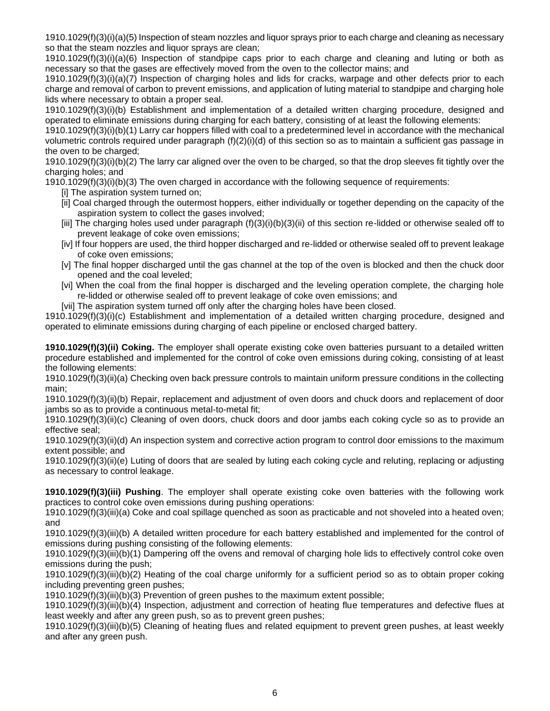1910.1029(f)(3)(i)(a)(5) Inspection of steam nozzles and liquor sprays prior to each charge and cleaning as necessary so that the steam nozzles and liquor sprays are clean;

1910.1029(f)(3)(i)(a)(6) Inspection of standpipe caps prior to each charge and cleaning and luting or both as necessary so that the gases are effectively moved from the oven to the collector mains; and

1910.1029(f)(3)(i)(a)(7) Inspection of charging holes and lids for cracks, warpage and other defects prior to each charge and removal of carbon to prevent emissions, and application of luting material to standpipe and charging hole lids where necessary to obtain a proper seal.

1910.1029(f)(3)(i)(b) Establishment and implementation of a detailed written charging procedure, designed and operated to eliminate emissions during charging for each battery, consisting of at least the following elements:

1910.1029(f)(3)(i)(b)(1) Larry car hoppers filled with coal to a predetermined level in accordance with the mechanical volumetric controls required under paragraph  $(f)(2)(i)(d)$  of this section so as to maintain a sufficient gas passage in the oven to be charged;

1910.1029(f)(3)(i)(b)(2) The larry car aligned over the oven to be charged, so that the drop sleeves fit tightly over the charging holes; and

1910.1029(f)(3)(i)(b)(3) The oven charged in accordance with the following sequence of requirements:

- [i] The aspiration system turned on;
- [ii] Coal charged through the outermost hoppers, either individually or together depending on the capacity of the aspiration system to collect the gases involved;
- [iii] The charging holes used under paragraph (f)(3)(i)(b)(3)(ii) of this section re-lidded or otherwise sealed off to prevent leakage of coke oven emissions;
- [iv] If four hoppers are used, the third hopper discharged and re-lidded or otherwise sealed off to prevent leakage of coke oven emissions;
- [v] The final hopper discharged until the gas channel at the top of the oven is blocked and then the chuck door opened and the coal leveled;
- [vi] When the coal from the final hopper is discharged and the leveling operation complete, the charging hole re-lidded or otherwise sealed off to prevent leakage of coke oven emissions; and
- [vii] The aspiration system turned off only after the charging holes have been closed.

1910.1029(f)(3)(i)(c) Establishment and implementation of a detailed written charging procedure, designed and operated to eliminate emissions during charging of each pipeline or enclosed charged battery.

**1910.1029(f)(3)(ii) Coking.** The employer shall operate existing coke oven batteries pursuant to a detailed written procedure established and implemented for the control of coke oven emissions during coking, consisting of at least the following elements:

1910.1029(f)(3)(ii)(a) Checking oven back pressure controls to maintain uniform pressure conditions in the collecting main;

1910.1029(f)(3)(ii)(b) Repair, replacement and adjustment of oven doors and chuck doors and replacement of door jambs so as to provide a continuous metal-to-metal fit;

1910.1029(f)(3)(ii)(c) Cleaning of oven doors, chuck doors and door jambs each coking cycle so as to provide an effective seal;

1910.1029(f)(3)(ii)(d) An inspection system and corrective action program to control door emissions to the maximum extent possible; and

1910.1029(f)(3)(ii)(e) Luting of doors that are sealed by luting each coking cycle and reluting, replacing or adjusting as necessary to control leakage.

**1910.1029(f)(3)(iii) Pushing**. The employer shall operate existing coke oven batteries with the following work practices to control coke oven emissions during pushing operations:

1910.1029(f)(3)(iii)(a) Coke and coal spillage quenched as soon as practicable and not shoveled into a heated oven; and

1910.1029(f)(3)(iii)(b) A detailed written procedure for each battery established and implemented for the control of emissions during pushing consisting of the following elements:

1910.1029(f)(3)(iii)(b)(1) Dampering off the ovens and removal of charging hole lids to effectively control coke oven emissions during the push;

1910.1029(f)(3)(iii)(b)(2) Heating of the coal charge uniformly for a sufficient period so as to obtain proper coking including preventing green pushes;

1910.1029(f)(3)(iii)(b)(3) Prevention of green pushes to the maximum extent possible;

1910.1029(f)(3)(iii)(b)(4) Inspection, adjustment and correction of heating flue temperatures and defective flues at least weekly and after any green push, so as to prevent green pushes;

1910.1029(f)(3)(iii)(b)(5) Cleaning of heating flues and related equipment to prevent green pushes, at least weekly and after any green push.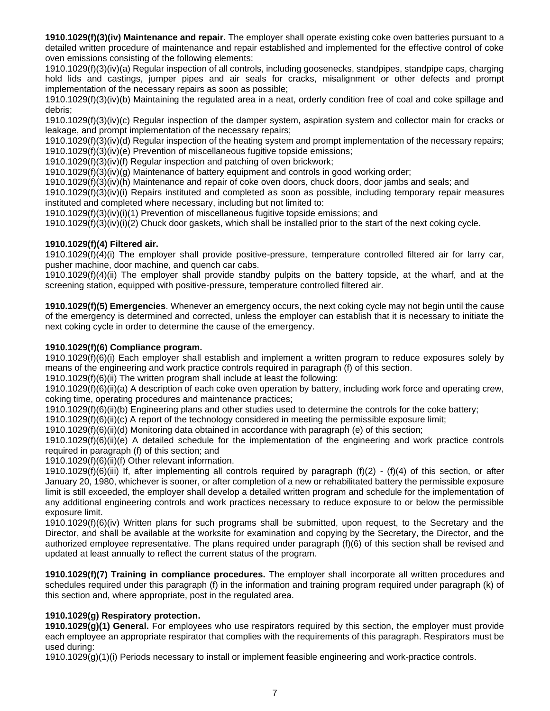**1910.1029(f)(3)(iv) Maintenance and repair.** The employer shall operate existing coke oven batteries pursuant to a detailed written procedure of maintenance and repair established and implemented for the effective control of coke oven emissions consisting of the following elements:

1910.1029(f)(3)(iv)(a) Regular inspection of all controls, including goosenecks, standpipes, standpipe caps, charging hold lids and castings, jumper pipes and air seals for cracks, misalignment or other defects and prompt implementation of the necessary repairs as soon as possible;

1910.1029(f)(3)(iv)(b) Maintaining the regulated area in a neat, orderly condition free of coal and coke spillage and debris;

1910.1029(f)(3)(iv)(c) Regular inspection of the damper system, aspiration system and collector main for cracks or leakage, and prompt implementation of the necessary repairs;

1910.1029(f)(3)(iv)(d) Regular inspection of the heating system and prompt implementation of the necessary repairs;

1910.1029(f)(3)(iv)(e) Prevention of miscellaneous fugitive topside emissions;

1910.1029(f)(3)(iv)(f) Regular inspection and patching of oven brickwork;

1910.1029(f)(3)(iv)(g) Maintenance of battery equipment and controls in good working order;

1910.1029(f)(3)(iv)(h) Maintenance and repair of coke oven doors, chuck doors, door jambs and seals; and

1910.1029(f)(3)(iv)(i) Repairs instituted and completed as soon as possible, including temporary repair measures instituted and completed where necessary, including but not limited to:

1910.1029(f)(3)(iv)(i)(1) Prevention of miscellaneous fugitive topside emissions; and

1910.1029(f)(3)(iv)(i)(2) Chuck door gaskets, which shall be installed prior to the start of the next coking cycle.

#### **1910.1029(f)(4) Filtered air.**

1910.1029(f)(4)(i) The employer shall provide positive-pressure, temperature controlled filtered air for larry car, pusher machine, door machine, and quench car cabs.

1910.1029(f)(4)(ii) The employer shall provide standby pulpits on the battery topside, at the wharf, and at the screening station, equipped with positive-pressure, temperature controlled filtered air.

**1910.1029(f)(5) Emergencies**. Whenever an emergency occurs, the next coking cycle may not begin until the cause of the emergency is determined and corrected, unless the employer can establish that it is necessary to initiate the next coking cycle in order to determine the cause of the emergency.

#### **1910.1029(f)(6) Compliance program.**

1910.1029(f)(6)(i) Each employer shall establish and implement a written program to reduce exposures solely by means of the engineering and work practice controls required in paragraph (f) of this section.

1910.1029(f)(6)(ii) The written program shall include at least the following:

1910.1029(f)(6)(ii)(a) A description of each coke oven operation by battery, including work force and operating crew, coking time, operating procedures and maintenance practices;

1910.1029(f)(6)(ii)(b) Engineering plans and other studies used to determine the controls for the coke battery;

1910.1029(f)(6)(ii)(c) A report of the technology considered in meeting the permissible exposure limit;

1910.1029(f)(6)(ii)(d) Monitoring data obtained in accordance with paragraph (e) of this section;

1910.1029(f)(6)(ii)(e) A detailed schedule for the implementation of the engineering and work practice controls required in paragraph (f) of this section; and

1910.1029(f)(6)(ii)(f) Other relevant information.

1910.1029(f)(6)(iii) If, after implementing all controls required by paragraph (f)(2) - (f)(4) of this section, or after January 20, 1980, whichever is sooner, or after completion of a new or rehabilitated battery the permissible exposure limit is still exceeded, the employer shall develop a detailed written program and schedule for the implementation of any additional engineering controls and work practices necessary to reduce exposure to or below the permissible exposure limit.

1910.1029(f)(6)(iv) Written plans for such programs shall be submitted, upon request, to the Secretary and the Director, and shall be available at the worksite for examination and copying by the Secretary, the Director, and the authorized employee representative. The plans required under paragraph (f)(6) of this section shall be revised and updated at least annually to reflect the current status of the program.

**1910.1029(f)(7) Training in compliance procedures.** The employer shall incorporate all written procedures and schedules required under this paragraph (f) in the information and training program required under paragraph (k) of this section and, where appropriate, post in the regulated area.

### <span id="page-6-0"></span>**1910.1029(g) Respiratory protection.**

**1910.1029(g)(1) General.** For employees who use respirators required by this section, the employer must provide each employee an appropriate respirator that complies with the requirements of this paragraph. Respirators must be used during:

1910.1029(g)(1)(i) Periods necessary to install or implement feasible engineering and work-practice controls.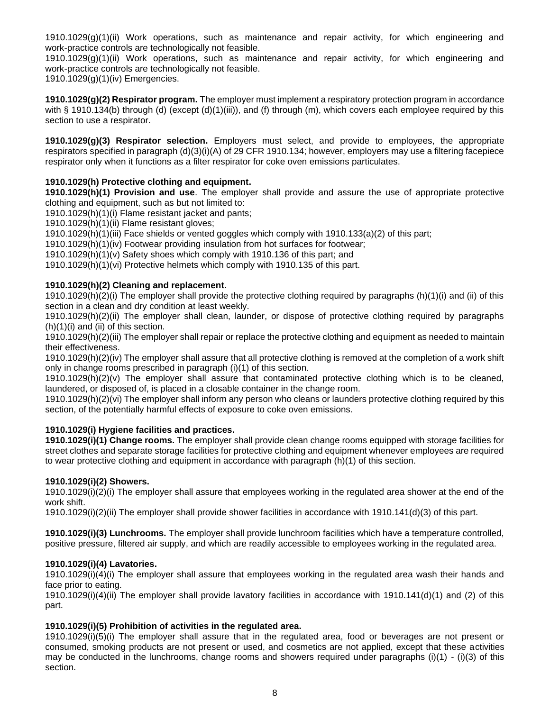1910.1029(g)(1)(ii) Work operations, such as maintenance and repair activity, for which engineering and work-practice controls are technologically not feasible.

1910.1029(g)(1)(ii) Work operations, such as maintenance and repair activity, for which engineering and work-practice controls are technologically not feasible.

1910.1029(g)(1)(iv) Emergencies.

**1910.1029(g)(2) Respirator program.** The employer must implement a respiratory protection program in accordance with § 1910.134(b) through (d) (except (d)(1)(iii)), and (f) through (m), which covers each employee required by this section to use a respirator.

**1910.1029(g)(3) Respirator selection.** Employers must select, and provide to employees, the appropriate respirators specified in paragraph (d)(3)(i)(A) of 29 CFR 1910.134; however, employers may use a filtering facepiece respirator only when it functions as a filter respirator for coke oven emissions particulates.

### <span id="page-7-0"></span>**1910.1029(h) Protective clothing and equipment.**

**1910.1029(h)(1) Provision and use**. The employer shall provide and assure the use of appropriate protective clothing and equipment, such as but not limited to:

1910.1029(h)(1)(i) Flame resistant jacket and pants;

1910.1029(h)(1)(ii) Flame resistant gloves;

1910.1029(h)(1)(iii) Face shields or vented goggles which comply with 1910.133(a)(2) of this part;

1910.1029(h)(1)(iv) Footwear providing insulation from hot surfaces for footwear;

1910.1029(h)(1)(v) Safety shoes which comply with 1910.136 of this part; and

1910.1029(h)(1)(vi) Protective helmets which comply with 1910.135 of this part.

### **1910.1029(h)(2) Cleaning and replacement.**

1910.1029(h)(2)(i) The employer shall provide the protective clothing required by paragraphs (h)(1)(i) and (ii) of this section in a clean and dry condition at least weekly.

1910.1029(h)(2)(ii) The employer shall clean, launder, or dispose of protective clothing required by paragraphs  $(h)(1)(i)$  and  $(ii)$  of this section.

1910.1029(h)(2)(iii) The employer shall repair or replace the protective clothing and equipment as needed to maintain their effectiveness.

1910.1029(h)(2)(iv) The employer shall assure that all protective clothing is removed at the completion of a work shift only in change rooms prescribed in paragraph (i)(1) of this section.

1910.1029(h)(2)(v) The employer shall assure that contaminated protective clothing which is to be cleaned, laundered, or disposed of, is placed in a closable container in the change room.

1910.1029(h)(2)(vi) The employer shall inform any person who cleans or launders protective clothing required by this section, of the potentially harmful effects of exposure to coke oven emissions.

### <span id="page-7-1"></span>**1910.1029(i) Hygiene facilities and practices.**

**1910.1029(i)(1) Change rooms.** The employer shall provide clean change rooms equipped with storage facilities for street clothes and separate storage facilities for protective clothing and equipment whenever employees are required to wear protective clothing and equipment in accordance with paragraph (h)(1) of this section.

#### **1910.1029(i)(2) Showers.**

1910.1029(i)(2)(i) The employer shall assure that employees working in the regulated area shower at the end of the work shift.

1910.1029(i)(2)(ii) The employer shall provide shower facilities in accordance with 1910.141(d)(3) of this part.

**1910.1029(i)(3) Lunchrooms.** The employer shall provide lunchroom facilities which have a temperature controlled, positive pressure, filtered air supply, and which are readily accessible to employees working in the regulated area.

#### **1910.1029(i)(4) Lavatories.**

1910.1029(i)(4)(i) The employer shall assure that employees working in the regulated area wash their hands and face prior to eating.

1910.1029(i)(4)(ii) The employer shall provide lavatory facilities in accordance with 1910.141(d)(1) and (2) of this part.

#### **1910.1029(i)(5) Prohibition of activities in the regulated area.**

1910.1029(i)(5)(i) The employer shall assure that in the regulated area, food or beverages are not present or consumed, smoking products are not present or used, and cosmetics are not applied, except that these activities may be conducted in the lunchrooms, change rooms and showers required under paragraphs (i)(1) - (i)(3) of this section.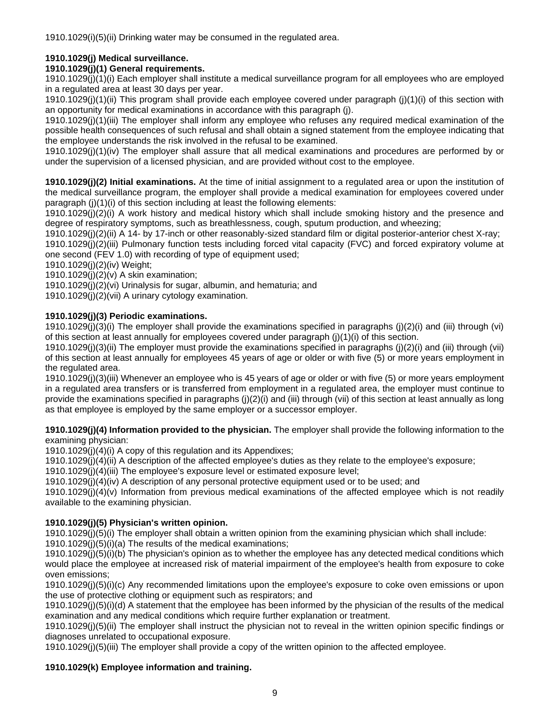1910.1029(i)(5)(ii) Drinking water may be consumed in the regulated area.

### <span id="page-8-0"></span>**1910.1029(j) Medical surveillance.**

### **1910.1029(j)(1) General requirements.**

1910.1029(j)(1)(i) Each employer shall institute a medical surveillance program for all employees who are employed in a regulated area at least 30 days per year.

1910.1029(j)(1)(ii) This program shall provide each employee covered under paragraph (j)(1)(i) of this section with an opportunity for medical examinations in accordance with this paragraph (j).

1910.1029(j)(1)(iii) The employer shall inform any employee who refuses any required medical examination of the possible health consequences of such refusal and shall obtain a signed statement from the employee indicating that the employee understands the risk involved in the refusal to be examined.

1910.1029(j)(1)(iv) The employer shall assure that all medical examinations and procedures are performed by or under the supervision of a licensed physician, and are provided without cost to the employee.

**1910.1029(j)(2) Initial examinations.** At the time of initial assignment to a regulated area or upon the institution of the medical surveillance program, the employer shall provide a medical examination for employees covered under paragraph (j)(1)(i) of this section including at least the following elements:

1910.1029(j)(2)(i) A work history and medical history which shall include smoking history and the presence and degree of respiratory symptoms, such as breathlessness, cough, sputum production, and wheezing;

1910.1029(j)(2)(ii) A 14- by 17-inch or other reasonably-sized standard film or digital posterior-anterior chest X-ray; 1910.1029(j)(2)(iii) Pulmonary function tests including forced vital capacity (FVC) and forced expiratory volume at

one second (FEV 1.0) with recording of type of equipment used;

1910.1029(j)(2)(iv) Weight;

1910.1029(j)(2)(v) A skin examination;

1910.1029(j)(2)(vi) Urinalysis for sugar, albumin, and hematuria; and

1910.1029(j)(2)(vii) A urinary cytology examination.

#### **1910.1029(j)(3) Periodic examinations.**

1910.1029(j)(3)(i) The employer shall provide the examinations specified in paragraphs (j)(2)(i) and (iii) through (vi) of this section at least annually for employees covered under paragraph (j)(1)(i) of this section.

1910.1029(j)(3)(ii) The employer must provide the examinations specified in paragraphs (j)(2)(i) and (iii) through (vii) of this section at least annually for employees 45 years of age or older or with five (5) or more years employment in the regulated area.

1910.1029(j)(3)(iii) Whenever an employee who is 45 years of age or older or with five (5) or more years employment in a regulated area transfers or is transferred from employment in a regulated area, the employer must continue to provide the examinations specified in paragraphs (j)(2)(i) and (iii) through (vii) of this section at least annually as long as that employee is employed by the same employer or a successor employer.

**1910.1029(j)(4) Information provided to the physician.** The employer shall provide the following information to the examining physician:

1910.1029(j)(4)(i) A copy of this regulation and its Appendixes;

1910.1029(j)(4)(ii) A description of the affected employee's duties as they relate to the employee's exposure;

1910.1029(j)(4)(iii) The employee's exposure level or estimated exposure level;

1910.1029(j)(4)(iv) A description of any personal protective equipment used or to be used; and

1910.1029(j)(4)(v) Information from previous medical examinations of the affected employee which is not readily available to the examining physician.

### **1910.1029(j)(5) Physician's written opinion.**

1910.1029(j)(5)(i) The employer shall obtain a written opinion from the examining physician which shall include:

1910.1029(j)(5)(i)(a) The results of the medical examinations;

1910.1029(j)(5)(i)(b) The physician's opinion as to whether the employee has any detected medical conditions which would place the employee at increased risk of material impairment of the employee's health from exposure to coke oven emissions;

1910.1029(j)(5)(i)(c) Any recommended limitations upon the employee's exposure to coke oven emissions or upon the use of protective clothing or equipment such as respirators; and

1910.1029(j)(5)(i)(d) A statement that the employee has been informed by the physician of the results of the medical examination and any medical conditions which require further explanation or treatment.

1910.1029(j)(5)(ii) The employer shall instruct the physician not to reveal in the written opinion specific findings or diagnoses unrelated to occupational exposure.

1910.1029(j)(5)(iii) The employer shall provide a copy of the written opinion to the affected employee.

### <span id="page-8-1"></span>**1910.1029(k) Employee information and training.**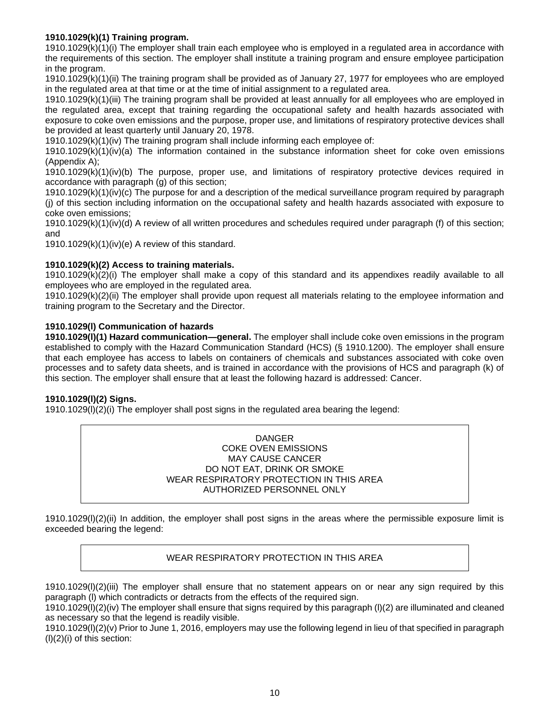### **1910.1029(k)(1) Training program.**

1910.1029(k)(1)(i) The employer shall train each employee who is employed in a regulated area in accordance with the requirements of this section. The employer shall institute a training program and ensure employee participation in the program.

1910.1029(k)(1)(ii) The training program shall be provided as of January 27, 1977 for employees who are employed in the regulated area at that time or at the time of initial assignment to a regulated area.

1910.1029(k)(1)(iii) The training program shall be provided at least annually for all employees who are employed in the regulated area, except that training regarding the occupational safety and health hazards associated with exposure to coke oven emissions and the purpose, proper use, and limitations of respiratory protective devices shall be provided at least quarterly until January 20, 1978.

1910.1029(k)(1)(iv) The training program shall include informing each employee of:

1910.1029(k)(1)(iv)(a) The information contained in the substance information sheet for coke oven emissions (Appendix A);

1910.1029(k)(1)(iv)(b) The purpose, proper use, and limitations of respiratory protective devices required in accordance with paragraph (g) of this section;

1910.1029(k)(1)(iv)(c) The purpose for and a description of the medical surveillance program required by paragraph (j) of this section including information on the occupational safety and health hazards associated with exposure to coke oven emissions;

1910.1029(k)(1)(iv)(d) A review of all written procedures and schedules required under paragraph (f) of this section; and

1910.1029(k)(1)(iv)(e) A review of this standard.

#### **1910.1029(k)(2) Access to training materials.**

1910.1029(k)(2)(i) The employer shall make a copy of this standard and its appendixes readily available to all employees who are employed in the regulated area.

1910.1029(k)(2)(ii) The employer shall provide upon request all materials relating to the employee information and training program to the Secretary and the Director.

#### **1910.1029(l) Communication of hazards**

**1910.1029(l)(1) Hazard communication—general.** The employer shall include coke oven emissions in the program established to comply with the Hazard Communication Standard (HCS) (§ 1910.1200). The employer shall ensure that each employee has access to labels on containers of chemicals and substances associated with coke oven processes and to safety data sheets, and is trained in accordance with the provisions of HCS and paragraph (k) of this section. The employer shall ensure that at least the following hazard is addressed: Cancer.

#### **1910.1029(l)(2) Signs.**

1910.1029(l)(2)(i) The employer shall post signs in the regulated area bearing the legend:

<span id="page-9-0"></span>**DANGER** COKE OVEN EMISSIONS MAY CAUSE CANCER DO NOT EAT, DRINK OR SMOKE WEAR RESPIRATORY PROTECTION IN THIS AREA AUTHORIZED PERSONNEL ONLY

1910.1029(l)(2)(ii) In addition, the employer shall post signs in the areas where the permissible exposure limit is exceeded bearing the legend:

### WEAR RESPIRATORY PROTECTION IN THIS AREA

1910.1029(l)(2)(iii) The employer shall ensure that no statement appears on or near any sign required by this paragraph (l) which contradicts or detracts from the effects of the required sign.

1910.1029(l)(2)(iv) The employer shall ensure that signs required by this paragraph (l)(2) are illuminated and cleaned as necessary so that the legend is readily visible.

1910.1029(l)(2)(v) Prior to June 1, 2016, employers may use the following legend in lieu of that specified in paragraph (l)(2)(i) of this section: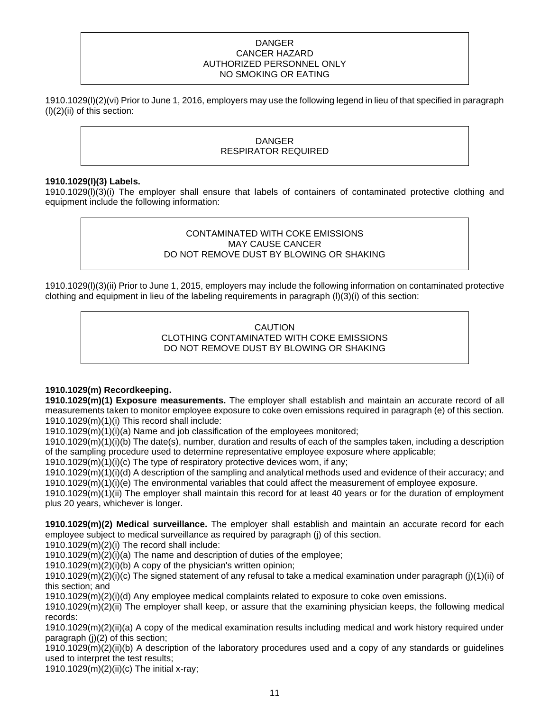#### DANGER CANCER HAZARD AUTHORIZED PERSONNEL ONLY NO SMOKING OR EATING

1910.1029(l)(2)(vi) Prior to June 1, 2016, employers may use the following legend in lieu of that specified in paragraph (l)(2)(ii) of this section:

### DANGER RESPIRATOR REQUIRED

#### **1910.1029(l)(3) Labels.**

1910.1029(l)(3)(i) The employer shall ensure that labels of containers of contaminated protective clothing and equipment include the following information:

> CONTAMINATED WITH COKE EMISSIONS MAY CAUSE CANCER DO NOT REMOVE DUST BY BLOWING OR SHAKING

1910.1029(l)(3)(ii) Prior to June 1, 2015, employers may include the following information on contaminated protective clothing and equipment in lieu of the labeling requirements in paragraph (l)(3)(i) of this section:

> <span id="page-10-0"></span>CAUTION CLOTHING CONTAMINATED WITH COKE EMISSIONS DO NOT REMOVE DUST BY BLOWING OR SHAKING

### **1910.1029(m) Recordkeeping.**

**1910.1029(m)(1) Exposure measurements.** The employer shall establish and maintain an accurate record of all measurements taken to monitor employee exposure to coke oven emissions required in paragraph (e) of this section. 1910.1029(m)(1)(i) This record shall include:

1910.1029(m)(1)(i)(a) Name and job classification of the employees monitored;

1910.1029(m)(1)(i)(b) The date(s), number, duration and results of each of the samples taken, including a description of the sampling procedure used to determine representative employee exposure where applicable;

 $1910.1029(m)(1)(i)(c)$  The type of respiratory protective devices worn, if any;

1910.1029(m)(1)(i)(d) A description of the sampling and analytical methods used and evidence of their accuracy; and 1910.1029(m)(1)(i)(e) The environmental variables that could affect the measurement of employee exposure.

1910.1029(m)(1)(ii) The employer shall maintain this record for at least 40 years or for the duration of employment plus 20 years, whichever is longer.

**1910.1029(m)(2) Medical surveillance.** The employer shall establish and maintain an accurate record for each employee subject to medical surveillance as required by paragraph (j) of this section.

1910.1029(m)(2)(i) The record shall include:

1910.1029(m)(2)(i)(a) The name and description of duties of the employee;

1910.1029(m)(2)(i)(b) A copy of the physician's written opinion;

1910.1029(m)(2)(i)(c) The signed statement of any refusal to take a medical examination under paragraph (j)(1)(ii) of this section; and

1910.1029(m)(2)(i)(d) Any employee medical complaints related to exposure to coke oven emissions.

1910.1029(m)(2)(ii) The employer shall keep, or assure that the examining physician keeps, the following medical records:

1910.1029(m)(2)(ii)(a) A copy of the medical examination results including medical and work history required under paragraph (j)(2) of this section;

1910.1029(m)(2)(ii)(b) A description of the laboratory procedures used and a copy of any standards or guidelines used to interpret the test results;

1910.1029(m)(2)(ii)(c) The initial x-ray;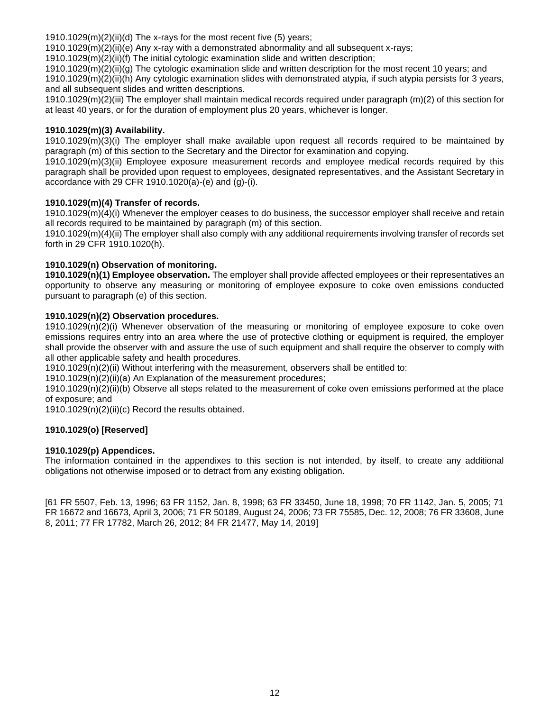1910.1029(m)(2)(ii)(d) The x-rays for the most recent five (5) years;

1910.1029(m)(2)(ii)(e) Any x-ray with a demonstrated abnormality and all subsequent x-rays;

1910.1029(m)(2)(ii)(f) The initial cytologic examination slide and written description;

1910.1029(m)(2)(ii)(g) The cytologic examination slide and written description for the most recent 10 years; and

1910.1029(m)(2)(ii)(h) Any cytologic examination slides with demonstrated atypia, if such atypia persists for 3 years, and all subsequent slides and written descriptions.

1910.1029(m)(2)(iii) The employer shall maintain medical records required under paragraph (m)(2) of this section for at least 40 years, or for the duration of employment plus 20 years, whichever is longer.

### **1910.1029(m)(3) Availability.**

1910.1029(m)(3)(i) The employer shall make available upon request all records required to be maintained by paragraph (m) of this section to the Secretary and the Director for examination and copying.

1910.1029(m)(3)(ii) Employee exposure measurement records and employee medical records required by this paragraph shall be provided upon request to employees, designated representatives, and the Assistant Secretary in accordance with 29 CFR 1910.1020(a)-(e) and (g)-(i).

### **1910.1029(m)(4) Transfer of records.**

1910.1029(m)(4)(i) Whenever the employer ceases to do business, the successor employer shall receive and retain all records required to be maintained by paragraph (m) of this section.

1910.1029(m)(4)(ii) The employer shall also comply with any additional requirements involving transfer of records set forth in 29 CFR 1910.1020(h).

### <span id="page-11-0"></span>**1910.1029(n) Observation of monitoring.**

**1910.1029(n)(1) Employee observation.** The employer shall provide affected employees or their representatives an opportunity to observe any measuring or monitoring of employee exposure to coke oven emissions conducted pursuant to paragraph (e) of this section.

### **1910.1029(n)(2) Observation procedures.**

1910.1029(n)(2)(i) Whenever observation of the measuring or monitoring of employee exposure to coke oven emissions requires entry into an area where the use of protective clothing or equipment is required, the employer shall provide the observer with and assure the use of such equipment and shall require the observer to comply with all other applicable safety and health procedures.

1910.1029(n)(2)(ii) Without interfering with the measurement, observers shall be entitled to:

1910.1029(n)(2)(ii)(a) An Explanation of the measurement procedures;

1910.1029(n)(2)(ii)(b) Observe all steps related to the measurement of coke oven emissions performed at the place of exposure; and

1910.1029(n)(2)(ii)(c) Record the results obtained.

## <span id="page-11-1"></span>**1910.1029(o) [Reserved]**

### <span id="page-11-2"></span>**1910.1029(p) Appendices.**

The information contained in the appendixes to this section is not intended, by itself, to create any additional obligations not otherwise imposed or to detract from any existing obligation.

[61 FR 5507, Feb. 13, 1996; 63 FR 1152, Jan. 8, 1998; 63 FR 33450, June 18, 1998; 70 FR 1142, Jan. 5, 2005; 71 FR 16672 and 16673, April 3, 2006; 71 FR 50189, August 24, 2006; 73 FR 75585, Dec. 12, 2008; 76 FR 33608, June 8, 2011; 77 FR 17782, March 26, 2012; 84 FR 21477, May 14, 2019]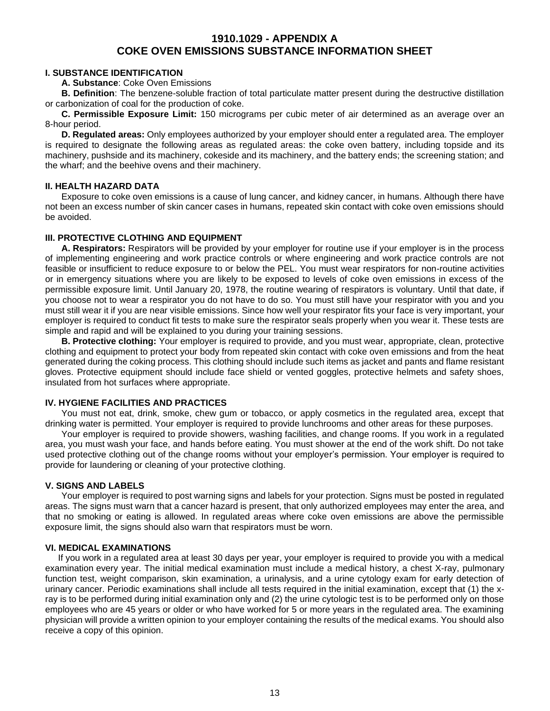# <span id="page-12-0"></span>**1910.1029 - APPENDIX A COKE OVEN EMISSIONS SUBSTANCE INFORMATION SHEET**

#### **I. SUBSTANCE IDENTIFICATION**

**A. Substance**: Coke Oven Emissions

**B. Definition**: The benzene-soluble fraction of total particulate matter present during the destructive distillation or carbonization of coal for the production of coke.

**C. Permissible Exposure Limit:** 150 micrograms per cubic meter of air determined as an average over an 8-hour period.

**D. Regulated areas:** Only employees authorized by your employer should enter a regulated area. The employer is required to designate the following areas as regulated areas: the coke oven battery, including topside and its machinery, pushside and its machinery, cokeside and its machinery, and the battery ends; the screening station; and the wharf; and the beehive ovens and their machinery.

#### **II. HEALTH HAZARD DATA**

Exposure to coke oven emissions is a cause of lung cancer, and kidney cancer, in humans. Although there have not been an excess number of skin cancer cases in humans, repeated skin contact with coke oven emissions should be avoided.

#### **III. PROTECTIVE CLOTHING AND EQUIPMENT**

**A. Respirators:** Respirators will be provided by your employer for routine use if your employer is in the process of implementing engineering and work practice controls or where engineering and work practice controls are not feasible or insufficient to reduce exposure to or below the PEL. You must wear respirators for non-routine activities or in emergency situations where you are likely to be exposed to levels of coke oven emissions in excess of the permissible exposure limit. Until January 20, 1978, the routine wearing of respirators is voluntary. Until that date, if you choose not to wear a respirator you do not have to do so. You must still have your respirator with you and you must still wear it if you are near visible emissions. Since how well your respirator fits your face is very important, your employer is required to conduct fit tests to make sure the respirator seals properly when you wear it. These tests are simple and rapid and will be explained to you during your training sessions.

**B. Protective clothing:** Your employer is required to provide, and you must wear, appropriate, clean, protective clothing and equipment to protect your body from repeated skin contact with coke oven emissions and from the heat generated during the coking process. This clothing should include such items as jacket and pants and flame resistant gloves. Protective equipment should include face shield or vented goggles, protective helmets and safety shoes, insulated from hot surfaces where appropriate.

#### **IV. HYGIENE FACILITIES AND PRACTICES**

You must not eat, drink, smoke, chew gum or tobacco, or apply cosmetics in the regulated area, except that drinking water is permitted. Your employer is required to provide lunchrooms and other areas for these purposes.

Your employer is required to provide showers, washing facilities, and change rooms. If you work in a regulated area, you must wash your face, and hands before eating. You must shower at the end of the work shift. Do not take used protective clothing out of the change rooms without your employer's permission. Your employer is required to provide for laundering or cleaning of your protective clothing.

#### **V. SIGNS AND LABELS**

Your employer is required to post warning signs and labels for your protection. Signs must be posted in regulated areas. The signs must warn that a cancer hazard is present, that only authorized employees may enter the area, and that no smoking or eating is allowed. In regulated areas where coke oven emissions are above the permissible exposure limit, the signs should also warn that respirators must be worn.

#### **VI. MEDICAL EXAMINATIONS**

If you work in a regulated area at least 30 days per year, your employer is required to provide you with a medical examination every year. The initial medical examination must include a medical history, a chest X-ray, pulmonary function test, weight comparison, skin examination, a urinalysis, and a urine cytology exam for early detection of urinary cancer. Periodic examinations shall include all tests required in the initial examination, except that (1) the xray is to be performed during initial examination only and (2) the urine cytologic test is to be performed only on those employees who are 45 years or older or who have worked for 5 or more years in the regulated area. The examining physician will provide a written opinion to your employer containing the results of the medical exams. You should also receive a copy of this opinion.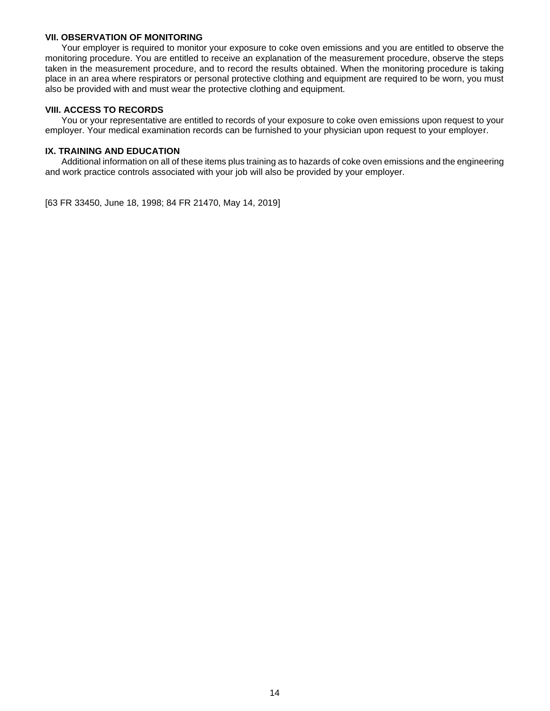#### **VII. OBSERVATION OF MONITORING**

Your employer is required to monitor your exposure to coke oven emissions and you are entitled to observe the monitoring procedure. You are entitled to receive an explanation of the measurement procedure, observe the steps taken in the measurement procedure, and to record the results obtained. When the monitoring procedure is taking place in an area where respirators or personal protective clothing and equipment are required to be worn, you must also be provided with and must wear the protective clothing and equipment.

#### **VIII. ACCESS TO RECORDS**

You or your representative are entitled to records of your exposure to coke oven emissions upon request to your employer. Your medical examination records can be furnished to your physician upon request to your employer.

#### **IX. TRAINING AND EDUCATION**

Additional information on all of these items plus training as to hazards of coke oven emissions and the engineering and work practice controls associated with your job will also be provided by your employer.

[6[3 FR 33450, June 18, 1998; 84 FR 21470, May 14, 2019\]](https://www.dol.gov/)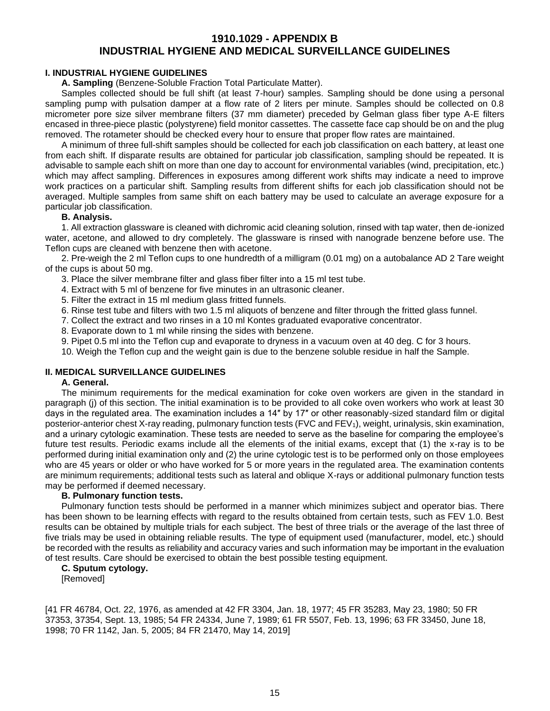# <span id="page-14-0"></span>**1910.1029 - APPENDIX B INDUSTRIAL HYGIENE AND MEDICAL SURVEILLANCE GUIDELINES**

#### **I. INDUSTRIAL HYGIENE GUIDELINES**

**A. Sampling** (Benzene-Soluble Fraction Total Particulate Matter).

Samples collected should be full shift (at least 7-hour) samples. Sampling should be done using a personal sampling pump with pulsation damper at a flow rate of 2 liters per minute. Samples should be collected on 0.8 micrometer pore size silver membrane filters (37 mm diameter) preceded by Gelman glass fiber type A-E filters encased in three-piece plastic (polystyrene) field monitor cassettes. The cassette face cap should be on and the plug removed. The rotameter should be checked every hour to ensure that proper flow rates are maintained.

A minimum of three full-shift samples should be collected for each job classification on each battery, at least one from each shift. If disparate results are obtained for particular job classification, sampling should be repeated. It is advisable to sample each shift on more than one day to account for environmental variables (wind, precipitation, etc.) which may affect sampling. Differences in exposures among different work shifts may indicate a need to improve work practices on a particular shift. Sampling results from different shifts for each job classification should not be averaged. Multiple samples from same shift on each battery may be used to calculate an average exposure for a particular job classification.

### **B. Analysis.**

1. All extraction glassware is cleaned with dichromic acid cleaning solution, rinsed with tap water, then de-ionized water, acetone, and allowed to dry completely. The glassware is rinsed with nanograde benzene before use. The Teflon cups are cleaned with benzene then with acetone.

2. Pre-weigh the 2 ml Teflon cups to one hundredth of a milligram (0.01 mg) on a autobalance AD 2 Tare weight of the cups is about 50 mg.

3. Place the silver membrane filter and glass fiber filter into a 15 ml test tube.

4. Extract with 5 ml of benzene for five minutes in an ultrasonic cleaner.

5. Filter the extract in 15 ml medium glass fritted funnels.

6. Rinse test tube and filters with two 1.5 ml aliquots of benzene and filter through the fritted glass funnel.

7. Collect the extract and two rinses in a 10 ml Kontes graduated evaporative concentrator.

8. Evaporate down to 1 ml while rinsing the sides with benzene.

9. Pipet 0.5 ml into the Teflon cup and evaporate to dryness in a vacuum oven at 40 deg. C for 3 hours.

10. Weigh the Teflon cup and the weight gain is due to the benzene soluble residue in half the Sample.

### **II. MEDICAL SURVEILLANCE GUIDELINES**

#### **A. General.**

The minimum requirements for the medical examination for coke oven workers are given in the standard in paragraph (j) of this section. The initial examination is to be provided to all coke oven workers who work at least 30 days in the regulated area. The examination includes a 14" by 17" or other reasonably-sized standard film or digital posterior-anterior chest X-ray reading, pulmonary function tests (FVC and FEV<sub>1</sub>), weight, urinalysis, skin examination, and a urinary cytologic examination. These tests are needed to serve as the baseline for comparing the employee's future test results. Periodic exams include all the elements of the initial exams, except that (1) the x-ray is to be performed during initial examination only and (2) the urine cytologic test is to be performed only on those employees who are 45 years or older or who have worked for 5 or more years in the regulated area. The examination contents are minimum requirements; additional tests such as lateral and oblique X-rays or additional pulmonary function tests may be performed if deemed necessary.

#### **B. Pulmonary function tests.**

Pulmonary function tests should be performed in a manner which minimizes subject and operator bias. There has been shown to be learning effects with regard to the results obtained from certain tests, such as FEV 1.0. Best results can be obtained by multiple trials for each subject. The best of three trials or the average of the last three of five trials may be used in obtaining reliable results. The type of equipment used (manufacturer, model, etc.) should be recorded with the results as reliability and accuracy varies and such information may be important in the evaluation of test results. Care should be exercised to obtain the best possible testing equipment.

#### **C. Sputum cytology.**

[Removed]

[41 FR 46784, Oct. 22, 1976, as amended at 42 FR 3304, Jan. 18, 1977; 45 FR 35283, May 23, 1980; 50 FR 37353, 37354, Sept. 13, 1985; 54 FR 24334, June 7, 1989; 61 FR 5507, Feb. 13, 1996; 63 FR 33450, June 18, 1998; 70 FR 1142, Jan. 5, 2005; 84 FR 21470, May 14, 2019]